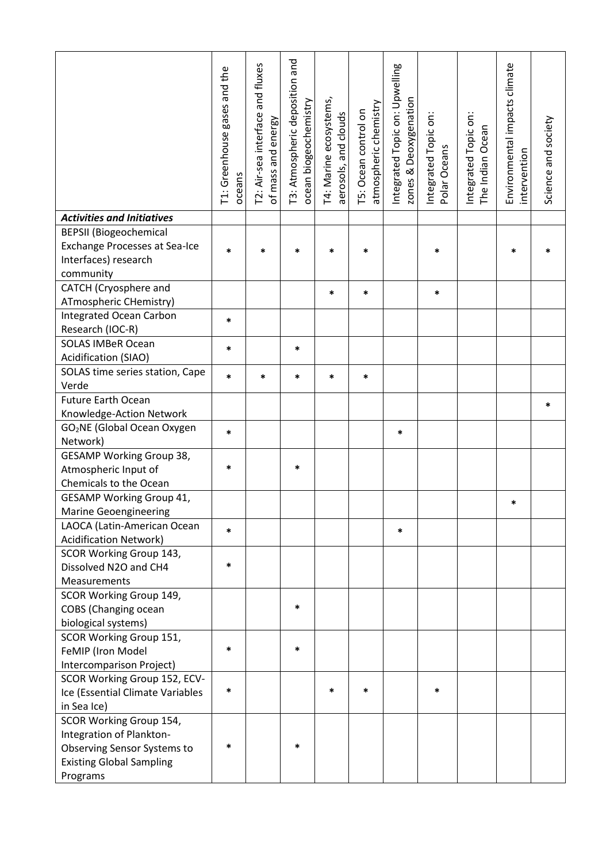|                                         | T1: Greenhouse gases and the<br>oceans | T2: Air-sea interface and fluxes<br>of mass and energy | T3: Atmospheric deposition and<br>ocean biogeochemistry | T4: Marine ecosystems,<br>aerosols, and clouds | atmospheric chemistry<br>T5: Ocean control on | Integrated Topic on: Upwelling<br>Deoxygenation<br>zones & | Integrated Topic on:<br>Polar Oceans | Integrated Topic on:<br>The Indian Ocean | Environmental impacts climate<br>intervention | Science and society |
|-----------------------------------------|----------------------------------------|--------------------------------------------------------|---------------------------------------------------------|------------------------------------------------|-----------------------------------------------|------------------------------------------------------------|--------------------------------------|------------------------------------------|-----------------------------------------------|---------------------|
| <b>Activities and Initiatives</b>       |                                        |                                                        |                                                         |                                                |                                               |                                                            |                                      |                                          |                                               |                     |
| <b>BEPSII</b> (Biogeochemical           |                                        |                                                        |                                                         |                                                |                                               |                                                            |                                      |                                          |                                               |                     |
| <b>Exchange Processes at Sea-Ice</b>    | $\ast$                                 | *                                                      | $\ast$                                                  | *                                              | $\ast$                                        |                                                            | *                                    |                                          | $\ast$                                        |                     |
| Interfaces) research                    |                                        |                                                        |                                                         |                                                |                                               |                                                            |                                      |                                          |                                               |                     |
| community                               |                                        |                                                        |                                                         |                                                |                                               |                                                            |                                      |                                          |                                               |                     |
| CATCH (Cryosphere and                   |                                        |                                                        |                                                         | *                                              | *                                             |                                                            | *                                    |                                          |                                               |                     |
| ATmospheric CHemistry)                  |                                        |                                                        |                                                         |                                                |                                               |                                                            |                                      |                                          |                                               |                     |
| <b>Integrated Ocean Carbon</b>          | $\ast$                                 |                                                        |                                                         |                                                |                                               |                                                            |                                      |                                          |                                               |                     |
| Research (IOC-R)                        |                                        |                                                        |                                                         |                                                |                                               |                                                            |                                      |                                          |                                               |                     |
| <b>SOLAS IMBeR Ocean</b>                | *                                      |                                                        | $\ast$                                                  |                                                |                                               |                                                            |                                      |                                          |                                               |                     |
| Acidification (SIAO)                    |                                        |                                                        |                                                         |                                                |                                               |                                                            |                                      |                                          |                                               |                     |
| SOLAS time series station, Cape         | $\ast$                                 | $\ast$                                                 | *                                                       | *                                              | $\ast$                                        |                                                            |                                      |                                          |                                               |                     |
| Verde                                   |                                        |                                                        |                                                         |                                                |                                               |                                                            |                                      |                                          |                                               |                     |
| <b>Future Earth Ocean</b>               |                                        |                                                        |                                                         |                                                |                                               |                                                            |                                      |                                          |                                               | *                   |
| Knowledge-Action Network                |                                        |                                                        |                                                         |                                                |                                               |                                                            |                                      |                                          |                                               |                     |
| GO <sub>2</sub> NE (Global Ocean Oxygen | *                                      |                                                        |                                                         |                                                |                                               | *                                                          |                                      |                                          |                                               |                     |
| Network)                                |                                        |                                                        |                                                         |                                                |                                               |                                                            |                                      |                                          |                                               |                     |
| <b>GESAMP Working Group 38,</b>         |                                        |                                                        |                                                         |                                                |                                               |                                                            |                                      |                                          |                                               |                     |
| Atmospheric Input of                    | *                                      |                                                        | ∗                                                       |                                                |                                               |                                                            |                                      |                                          |                                               |                     |
| Chemicals to the Ocean                  |                                        |                                                        |                                                         |                                                |                                               |                                                            |                                      |                                          |                                               |                     |
| <b>GESAMP Working Group 41,</b>         |                                        |                                                        |                                                         |                                                |                                               |                                                            |                                      |                                          | *                                             |                     |
| <b>Marine Geoengineering</b>            |                                        |                                                        |                                                         |                                                |                                               |                                                            |                                      |                                          |                                               |                     |
| LAOCA (Latin-American Ocean             | $\ast$                                 |                                                        |                                                         |                                                |                                               | *                                                          |                                      |                                          |                                               |                     |
| <b>Acidification Network)</b>           |                                        |                                                        |                                                         |                                                |                                               |                                                            |                                      |                                          |                                               |                     |
| SCOR Working Group 143,                 |                                        |                                                        |                                                         |                                                |                                               |                                                            |                                      |                                          |                                               |                     |
| Dissolved N2O and CH4                   | *                                      |                                                        |                                                         |                                                |                                               |                                                            |                                      |                                          |                                               |                     |
| Measurements                            |                                        |                                                        |                                                         |                                                |                                               |                                                            |                                      |                                          |                                               |                     |
| SCOR Working Group 149,                 |                                        |                                                        |                                                         |                                                |                                               |                                                            |                                      |                                          |                                               |                     |
| <b>COBS</b> (Changing ocean             |                                        |                                                        | *                                                       |                                                |                                               |                                                            |                                      |                                          |                                               |                     |
| biological systems)                     |                                        |                                                        |                                                         |                                                |                                               |                                                            |                                      |                                          |                                               |                     |
| SCOR Working Group 151,                 |                                        |                                                        |                                                         |                                                |                                               |                                                            |                                      |                                          |                                               |                     |
| FeMIP (Iron Model                       | $\ast$                                 |                                                        | $\ast$                                                  |                                                |                                               |                                                            |                                      |                                          |                                               |                     |
| Intercomparison Project)                |                                        |                                                        |                                                         |                                                |                                               |                                                            |                                      |                                          |                                               |                     |
| SCOR Working Group 152, ECV-            |                                        |                                                        |                                                         |                                                |                                               |                                                            |                                      |                                          |                                               |                     |
| Ice (Essential Climate Variables        | $\ast$                                 |                                                        |                                                         | *                                              | *                                             |                                                            | *                                    |                                          |                                               |                     |
| in Sea Ice)                             |                                        |                                                        |                                                         |                                                |                                               |                                                            |                                      |                                          |                                               |                     |
| SCOR Working Group 154,                 |                                        |                                                        |                                                         |                                                |                                               |                                                            |                                      |                                          |                                               |                     |
| Integration of Plankton-                |                                        |                                                        |                                                         |                                                |                                               |                                                            |                                      |                                          |                                               |                     |
| Observing Sensor Systems to             | *                                      |                                                        | ∗                                                       |                                                |                                               |                                                            |                                      |                                          |                                               |                     |
| <b>Existing Global Sampling</b>         |                                        |                                                        |                                                         |                                                |                                               |                                                            |                                      |                                          |                                               |                     |
| Programs                                |                                        |                                                        |                                                         |                                                |                                               |                                                            |                                      |                                          |                                               |                     |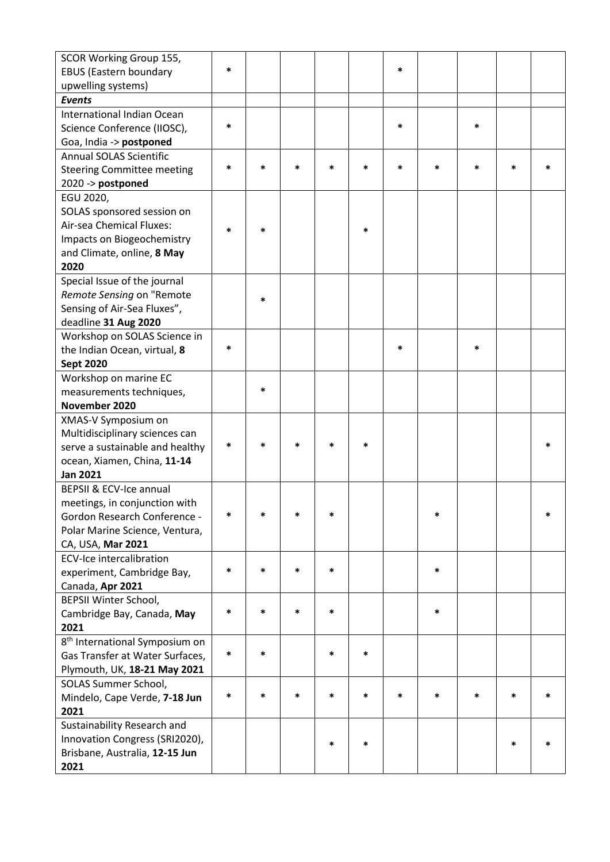| SCOR Working Group 155,                    |        |        |        |        |        |   |        |        |        |   |
|--------------------------------------------|--------|--------|--------|--------|--------|---|--------|--------|--------|---|
| <b>EBUS (Eastern boundary</b>              | $\ast$ |        |        |        |        | * |        |        |        |   |
| upwelling systems)                         |        |        |        |        |        |   |        |        |        |   |
| <b>Events</b>                              |        |        |        |        |        |   |        |        |        |   |
| International Indian Ocean                 |        |        |        |        |        |   |        |        |        |   |
| Science Conference (IIOSC),                | $\ast$ |        |        |        |        | * |        | *      |        |   |
| Goa, India -> postponed                    |        |        |        |        |        |   |        |        |        |   |
| <b>Annual SOLAS Scientific</b>             |        |        |        |        |        |   |        |        |        |   |
| <b>Steering Committee meeting</b>          | *      | *      | *      | $\ast$ | $\ast$ | * | $\ast$ | *      | $\ast$ |   |
| 2020 -> postponed                          |        |        |        |        |        |   |        |        |        |   |
| EGU 2020,                                  |        |        |        |        |        |   |        |        |        |   |
| SOLAS sponsored session on                 |        |        |        |        |        |   |        |        |        |   |
| Air-sea Chemical Fluxes:                   | $\ast$ | $\ast$ |        |        | $\ast$ |   |        |        |        |   |
| Impacts on Biogeochemistry                 |        |        |        |        |        |   |        |        |        |   |
| and Climate, online, 8 May                 |        |        |        |        |        |   |        |        |        |   |
| 2020                                       |        |        |        |        |        |   |        |        |        |   |
| Special Issue of the journal               |        |        |        |        |        |   |        |        |        |   |
| Remote Sensing on "Remote                  |        | *      |        |        |        |   |        |        |        |   |
| Sensing of Air-Sea Fluxes",                |        |        |        |        |        |   |        |        |        |   |
| deadline 31 Aug 2020                       |        |        |        |        |        |   |        |        |        |   |
| Workshop on SOLAS Science in               |        |        |        |        |        |   |        |        |        |   |
| the Indian Ocean, virtual, 8               | $\ast$ |        |        |        |        | * |        | *      |        |   |
| <b>Sept 2020</b>                           |        |        |        |        |        |   |        |        |        |   |
| Workshop on marine EC                      |        |        |        |        |        |   |        |        |        |   |
| measurements techniques,                   |        | *      |        |        |        |   |        |        |        |   |
| November 2020                              |        |        |        |        |        |   |        |        |        |   |
| XMAS-V Symposium on                        |        |        |        |        |        |   |        |        |        |   |
| Multidisciplinary sciences can             |        |        |        |        |        |   |        |        |        |   |
| serve a sustainable and healthy            | $\ast$ | *      | *      | *      | *      |   |        |        |        |   |
| ocean, Xiamen, China, 11-14                |        |        |        |        |        |   |        |        |        |   |
| <b>Jan 2021</b>                            |        |        |        |        |        |   |        |        |        |   |
| BEPSII & ECV-Ice annual                    |        |        |        |        |        |   |        |        |        |   |
| meetings, in conjunction with              |        |        |        |        |        |   |        |        |        |   |
| <b>Gordon Research Conference -</b>        | $\ast$ | *      | *      | $\ast$ |        |   | *      |        |        | * |
| Polar Marine Science, Ventura,             |        |        |        |        |        |   |        |        |        |   |
| CA, USA, Mar 2021                          |        |        |        |        |        |   |        |        |        |   |
| <b>ECV-Ice intercalibration</b>            |        |        |        |        |        |   |        |        |        |   |
| experiment, Cambridge Bay,                 | $\ast$ | *      | *      | $\ast$ |        |   | *      |        |        |   |
| Canada, Apr 2021                           |        |        |        |        |        |   |        |        |        |   |
| <b>BEPSII Winter School,</b>               |        |        |        |        |        |   |        |        |        |   |
| Cambridge Bay, Canada, May                 | $\ast$ | *      | *      | *      |        |   | $\ast$ |        |        |   |
| 2021                                       |        |        |        |        |        |   |        |        |        |   |
| 8 <sup>th</sup> International Symposium on |        |        |        |        |        |   |        |        |        |   |
| Gas Transfer at Water Surfaces,            | $\ast$ | $\ast$ |        | *      | $\ast$ |   |        |        |        |   |
| Plymouth, UK, 18-21 May 2021               |        |        |        |        |        |   |        |        |        |   |
| SOLAS Summer School,                       |        |        |        |        |        |   |        |        |        |   |
| Mindelo, Cape Verde, 7-18 Jun              | $\ast$ | *      | $\ast$ | *      | *      | * | $\ast$ | $\ast$ | *      | * |
| 2021                                       |        |        |        |        |        |   |        |        |        |   |
| Sustainability Research and                |        |        |        |        |        |   |        |        |        |   |
| Innovation Congress (SRI2020),             |        |        |        | *      | *      |   |        |        | *      |   |
| Brisbane, Australia, 12-15 Jun             |        |        |        |        |        |   |        |        |        |   |
| 2021                                       |        |        |        |        |        |   |        |        |        |   |